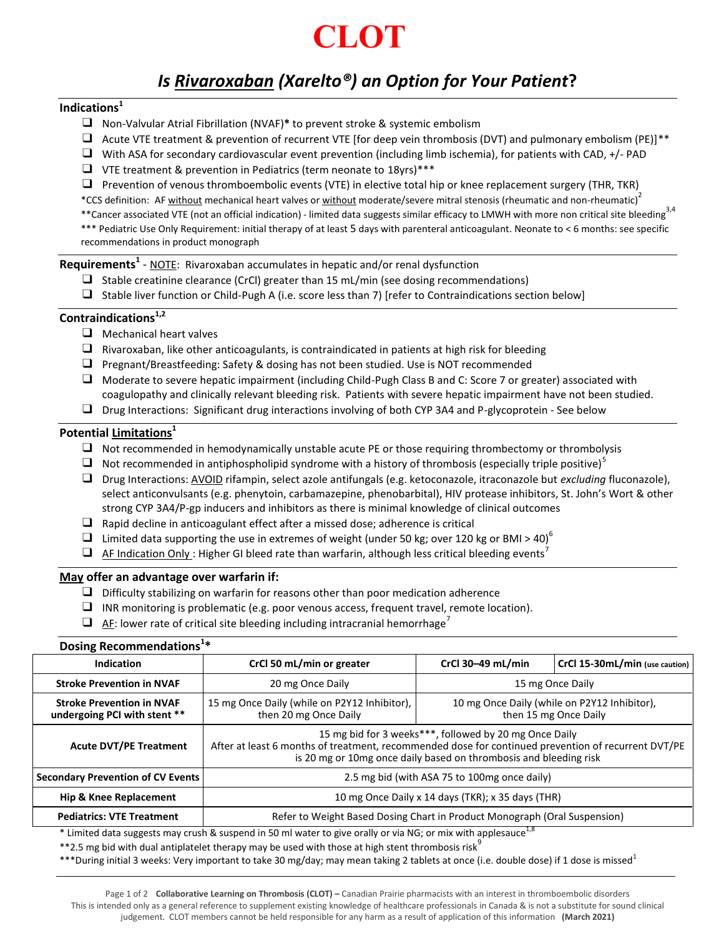

## *Is Rivaroxaban (Xarelto®) an Option for Your Patient***?**

#### **Indications<sup>1</sup>**

- ❑ Non-Valvular Atrial Fibrillation (NVAF)**\*** to prevent stroke & systemic embolism
- $\Box$  Acute VTE treatment & prevention of recurrent VTE [for deep vein thrombosis (DVT) and pulmonary embolism (PE)]\*\*
- $\Box$  With ASA for secondary cardiovascular event prevention (including limb ischemia), for patients with CAD, +/- PAD
- ❑ VTE treatment & prevention in Pediatrics (term neonate to 18yrs)\*\*\*

 $\Box$  Prevention of venous thromboembolic events (VTE) in elective total hip or knee replacement surgery (THR, TKR)

\*CCS definition: AF without mechanical heart valves or without moderate/severe mitral stenosis (rheumatic and non-rheumatic)<sup>2</sup>

\*\*Cancer associated VTE (not an official indication) - limited data suggests similar efficacy to LMWH with more non critical site bleeding<sup>3,4</sup> \*\*\* Pediatric Use Only Requirement: initial therapy of at least 5 days with parenteral anticoagulant. Neonate to < 6 months: see specific

recommendations in product monograph

**Requirements<sup>1</sup>** - NOTE: Rivaroxaban accumulates in hepatic and/or renal dysfunction

- $\Box$  Stable creatinine clearance (CrCl) greater than 15 mL/min (see dosing recommendations)
- ❑ Stable liver function or Child-Pugh A (i.e. score less than 7) [refer to Contraindications section below]

### **Contraindications1,2**

- ❑ Mechanical heart valves
- $\Box$  Rivaroxaban, like other anticoagulants, is contraindicated in patients at high risk for bleeding
- ❑ Pregnant/Breastfeeding: Safety & dosing has not been studied. Use is NOT recommended
- ❑ Moderate to severe hepatic impairment (including Child-Pugh Class B and C: Score 7 or greater) associated with coagulopathy and clinically relevant bleeding risk. Patients with severe hepatic impairment have not been studied.
- ❑ Drug Interactions: Significant drug interactions involving of both CYP 3A4 and P-glycoprotein See below

#### **Potential Limitations<sup>1</sup>**

- $\Box$  Not recommended in hemodynamically unstable acute PE or those requiring thrombectomy or thrombolysis
- $\Box$  Not recommended in antiphospholipid syndrome with a history of thrombosis (especially triple positive)<sup>5</sup>
- ❑ Drug Interactions: AVOID rifampin, select azole antifungals (e.g. ketoconazole, itraconazole but *excluding* fluconazole), select anticonvulsants (e.g. phenytoin, carbamazepine, phenobarbital), HIV protease inhibitors, St. John's Wort & other strong CYP 3A4/P-gp inducers and inhibitors as there is minimal knowledge of clinical outcomes
- ❑ Rapid decline in anticoagulant effect after a missed dose; adherence is critical
- $\Box$  Limited data supporting the use in extremes of weight (under 50 kg; over 120 kg or BMI > 40)<sup>6</sup>
- $\Box$  AF Indication Only : Higher GI bleed rate than warfarin, although less critical bleeding events<sup>7</sup>

#### **May offer an advantage over warfarin if:**

**\***

- $\Box$  Difficulty stabilizing on warfarin for reasons other than poor medication adherence
- $\Box$  INR monitoring is problematic (e.g. poor venous access, frequent travel, remote location).
- $\Box$  AF: lower rate of critical site bleeding including intracranial hemorrhage<sup>7</sup>

| Dosing Recommendations <sup>1*</sup>                                                                                   |                                                                                                                                                                                                                                    |                                                                       |                                |  |
|------------------------------------------------------------------------------------------------------------------------|------------------------------------------------------------------------------------------------------------------------------------------------------------------------------------------------------------------------------------|-----------------------------------------------------------------------|--------------------------------|--|
| Indication                                                                                                             | CrCl 50 mL/min or greater                                                                                                                                                                                                          | CrCl 30-49 mL/min                                                     | CrCl 15-30mL/min (use caution) |  |
| <b>Stroke Prevention in NVAF</b>                                                                                       | 20 mg Once Daily                                                                                                                                                                                                                   | 15 mg Once Daily                                                      |                                |  |
| <b>Stroke Prevention in NVAF</b><br>undergoing PCI with stent **                                                       | 15 mg Once Daily (while on P2Y12 Inhibitor),<br>then 20 mg Once Daily                                                                                                                                                              | 10 mg Once Daily (while on P2Y12 Inhibitor),<br>then 15 mg Once Daily |                                |  |
| <b>Acute DVT/PE Treatment</b>                                                                                          | 15 mg bid for 3 weeks***, followed by 20 mg Once Daily<br>After at least 6 months of treatment, recommended dose for continued prevention of recurrent DVT/PE<br>is 20 mg or 10mg once daily based on thrombosis and bleeding risk |                                                                       |                                |  |
| <b>Secondary Prevention of CV Events</b>                                                                               | 2.5 mg bid (with ASA 75 to 100mg once daily)                                                                                                                                                                                       |                                                                       |                                |  |
| <b>Hip &amp; Knee Replacement</b>                                                                                      | 10 mg Once Daily x 14 days (TKR); x 35 days (THR)                                                                                                                                                                                  |                                                                       |                                |  |
| <b>Pediatrics: VTE Treatment</b>                                                                                       | Refer to Weight Based Dosing Chart in Product Monograph (Oral Suspension)                                                                                                                                                          |                                                                       |                                |  |
| $*$ Limited data suggests may crush & suspend in 50 ml water to give orally or via NG; or mix with anniesauce $^{1,8}$ |                                                                                                                                                                                                                                    |                                                                       |                                |  |

sh & suspend in 50 ml water to give orally or via NG; or mix  $\,$ 

\*\*2.5 mg bid with dual antiplatelet therapy may be used with those at high stent thrombosis risk<sup>9</sup>

\*\*\*During initial 3 weeks: Very important to take 30 mg/day; may mean taking 2 tablets at once (i.e. double dose) if 1 dose is missed<sup>1</sup>

Page 1 of 2 **Collaborative Learning on Thrombosis (CLOT) –** Canadian Prairie pharmacists with an interest in thromboembolic disorders This is intended only as a general reference to supplement existing knowledge of healthcare professionals in Canada & is not a substitute for sound clinical judgement. CLOT members cannot be held responsible for any harm as a result of application of this information **(March 2021)**